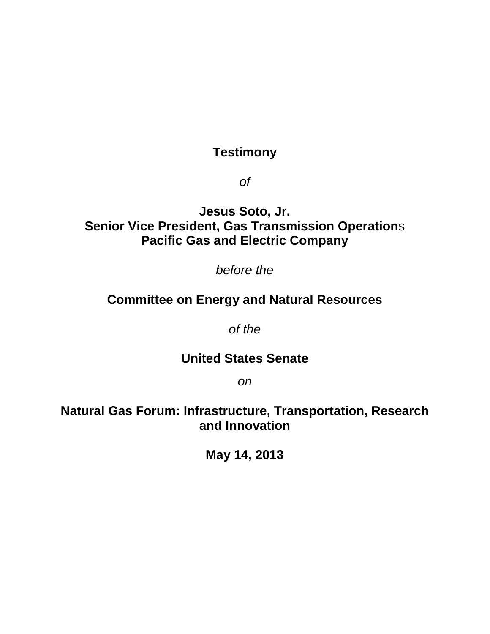# **Testimony**

*of*

## **Jesus Soto, Jr. Senior Vice President, Gas Transmission Operation**s **Pacific Gas and Electric Company**

*before the*

## **Committee on Energy and Natural Resources**

*of the*

### **United States Senate**

*on*

**Natural Gas Forum: Infrastructure, Transportation, Research and Innovation** 

**May 14, 2013**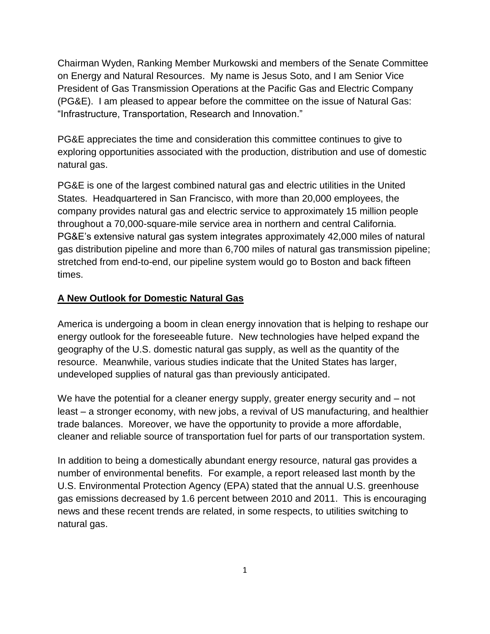Chairman Wyden, Ranking Member Murkowski and members of the Senate Committee on Energy and Natural Resources. My name is Jesus Soto, and I am Senior Vice President of Gas Transmission Operations at the Pacific Gas and Electric Company (PG&E). I am pleased to appear before the committee on the issue of Natural Gas: "Infrastructure, Transportation, Research and Innovation."

PG&E appreciates the time and consideration this committee continues to give to exploring opportunities associated with the production, distribution and use of domestic natural gas.

PG&E is one of the largest combined natural gas and electric utilities in the United States. Headquartered in San Francisco, with more than 20,000 employees, the company provides natural gas and electric service to approximately 15 million people throughout a 70,000-square-mile service area in northern and central California. PG&E's extensive natural gas system integrates approximately 42,000 miles of natural gas distribution pipeline and more than 6,700 miles of natural gas transmission pipeline; stretched from end-to-end, our pipeline system would go to Boston and back fifteen times.

#### **A New Outlook for Domestic Natural Gas**

America is undergoing a boom in clean energy innovation that is helping to reshape our energy outlook for the foreseeable future. New technologies have helped expand the geography of the U.S. domestic natural gas supply, as well as the quantity of the resource. Meanwhile, various studies indicate that the United States has larger, undeveloped supplies of natural gas than previously anticipated.

We have the potential for a cleaner energy supply, greater energy security and – not least – a stronger economy, with new jobs, a revival of US manufacturing, and healthier trade balances. Moreover, we have the opportunity to provide a more affordable, cleaner and reliable source of transportation fuel for parts of our transportation system.

In addition to being a domestically abundant energy resource, natural gas provides a number of environmental benefits. For example, a report released last month by the U.S. Environmental Protection Agency (EPA) stated that the annual U.S. greenhouse gas emissions decreased by 1.6 percent between 2010 and 2011. This is encouraging news and these recent trends are related, in some respects, to utilities switching to natural gas.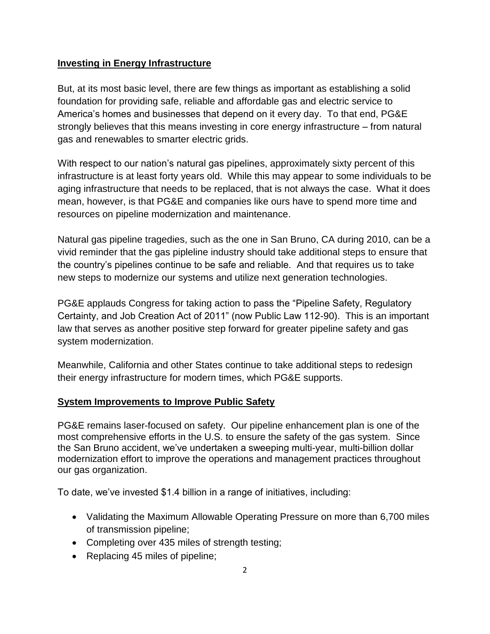#### **Investing in Energy Infrastructure**

But, at its most basic level, there are few things as important as establishing a solid foundation for providing safe, reliable and affordable gas and electric service to America's homes and businesses that depend on it every day. To that end, PG&E strongly believes that this means investing in core energy infrastructure – from natural gas and renewables to smarter electric grids.

With respect to our nation's natural gas pipelines, approximately sixty percent of this infrastructure is at least forty years old. While this may appear to some individuals to be aging infrastructure that needs to be replaced, that is not always the case. What it does mean, however, is that PG&E and companies like ours have to spend more time and resources on pipeline modernization and maintenance.

Natural gas pipeline tragedies, such as the one in San Bruno, CA during 2010, can be a vivid reminder that the gas pipleline industry should take additional steps to ensure that the country's pipelines continue to be safe and reliable. And that requires us to take new steps to modernize our systems and utilize next generation technologies.

PG&E applauds Congress for taking action to pass the "Pipeline Safety, Regulatory Certainty, and Job Creation Act of 2011" (now Public Law 112-90). This is an important law that serves as another positive step forward for greater pipeline safety and gas system modernization.

Meanwhile, California and other States continue to take additional steps to redesign their energy infrastructure for modern times, which PG&E supports.

#### **System Improvements to Improve Public Safety**

PG&E remains laser-focused on safety. Our pipeline enhancement plan is one of the most comprehensive efforts in the U.S. to ensure the safety of the gas system. Since the San Bruno accident, we've undertaken a sweeping multi-year, multi-billion dollar modernization effort to improve the operations and management practices throughout our gas organization.

To date, we've invested \$1.4 billion in a range of initiatives, including:

- Validating the Maximum Allowable Operating Pressure on more than 6,700 miles of transmission pipeline;
- Completing over 435 miles of strength testing;
- Replacing 45 miles of pipeline;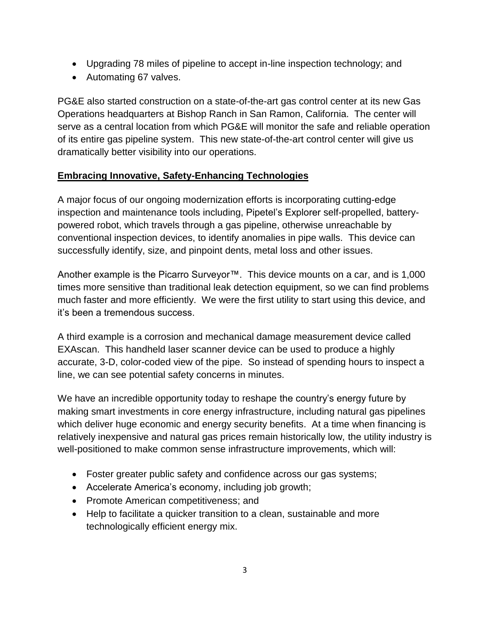- Upgrading 78 miles of pipeline to accept in-line inspection technology; and
- Automating 67 valves.

PG&E also started construction on a state-of-the-art gas control center at its new Gas Operations headquarters at Bishop Ranch in San Ramon, California. The center will serve as a central location from which PG&E will monitor the safe and reliable operation of its entire gas pipeline system. This new state-of-the-art control center will give us dramatically better visibility into our operations.

#### **Embracing Innovative, Safety-Enhancing Technologies**

A major focus of our ongoing modernization efforts is incorporating cutting-edge inspection and maintenance tools including, Pipetel's Explorer self-propelled, batterypowered robot, which travels through a gas pipeline, otherwise unreachable by conventional inspection devices, to identify anomalies in pipe walls. This device can successfully identify, size, and pinpoint dents, metal loss and other issues.

Another example is the Picarro Surveyor™. This device mounts on a car, and is 1,000 times more sensitive than traditional leak detection equipment, so we can find problems much faster and more efficiently. We were the first utility to start using this device, and it's been a tremendous success.

A third example is a corrosion and mechanical damage measurement device called EXAscan. This handheld laser scanner device can be used to produce a highly accurate, 3-D, color-coded view of the pipe. So instead of spending hours to inspect a line, we can see potential safety concerns in minutes.

We have an incredible opportunity today to reshape the country's energy future by making smart investments in core energy infrastructure, including natural gas pipelines which deliver huge economic and energy security benefits. At a time when financing is relatively inexpensive and natural gas prices remain historically low, the utility industry is well-positioned to make common sense infrastructure improvements, which will:

- Foster greater public safety and confidence across our gas systems;
- Accelerate America's economy, including job growth;
- Promote American competitiveness; and
- Help to facilitate a quicker transition to a clean, sustainable and more technologically efficient energy mix.